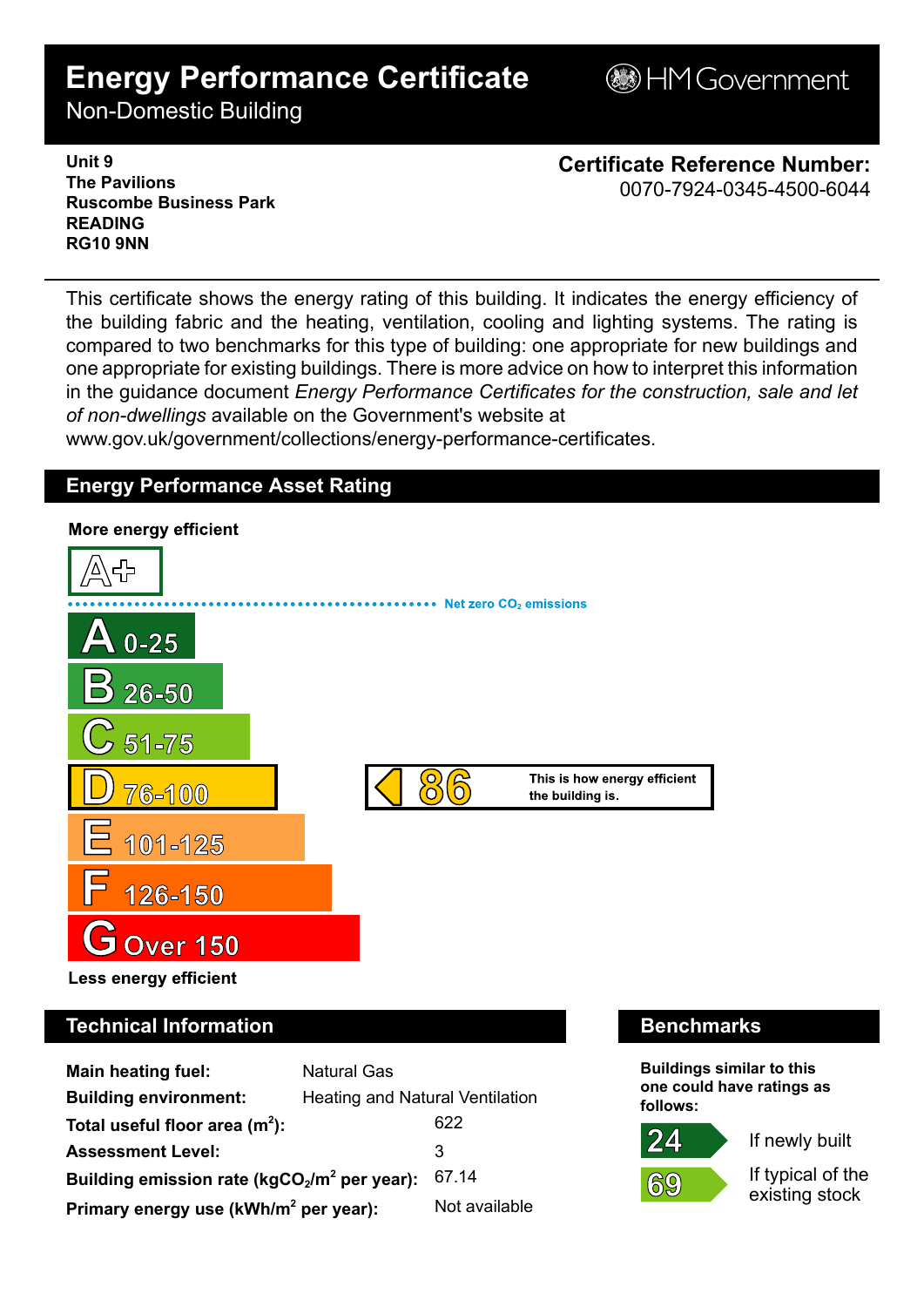# **Energy Performance Certificate**

**BHM Government** 

Non-Domestic Building

**Unit 9 The Pavilions Ruscombe Business Park READING RG10 9NN**

**Certificate Reference Number:** 0070-7924-0345-4500-6044

This certificate shows the energy rating of this building. It indicates the energy efficiency of the building fabric and the heating, ventilation, cooling and lighting systems. The rating is compared to two benchmarks for this type of building: one appropriate for new buildings and one appropriate for existing buildings. There is more advice on how to interpret this information in the guidance document *Energy Performance Certificates for the construction, sale and let of non-dwellings* available on the Government's website at

www.gov.uk/government/collections/energy-performance-certificates.

## **Energy Performance Asset Rating**



# **Technical Information Benchmarks**

| Main heating fuel:                                | <b>Natural Gas</b>                     |               |
|---------------------------------------------------|----------------------------------------|---------------|
| <b>Building environment:</b>                      | <b>Heating and Natural Ventilation</b> |               |
| Total useful floor area $(m2)$ :                  |                                        | 622           |
| <b>Assessment Level:</b>                          |                                        | 3             |
| Building emission rate ( $kgCO2/m2$ per year):    |                                        | 67.14         |
| Primary energy use (kWh/m <sup>2</sup> per year): |                                        | Not available |

**Buildings similar to this one could have ratings as follows:**

If newly built



If typical of the existing stock